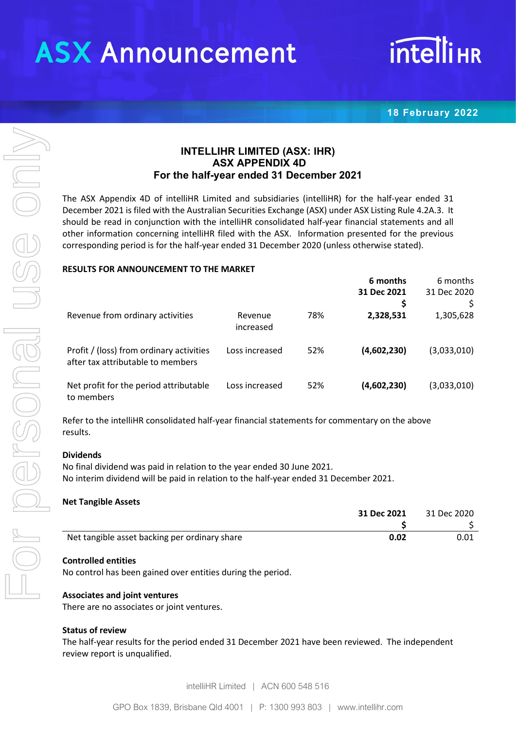# **ASX Announcement**

# **intelliHR**

**18 February 2022**

# **INTELLIHR LIMITED (ASX: IHR) ASX APPENDIX 4D For the half-year ended 31 December 2021**

The ASX Appendix 4D of intelliHR Limited and subsidiaries (intelliHR) for the half-year ended 31 December 2021 is filed with the Australian Securities Exchange (ASX) under ASX Listing Rule 4.2A.3. It should be read in conjunction with the intelliHR consolidated half-year financial statements and all other information concerning intelliHR filed with the ASX. Information presented for the previous corresponding period is for the half-year ended 31 December 2020 (unless otherwise stated).

#### **RESULTS FOR ANNOUNCEMENT TO THE MARKET**

|                                                                               |                      |     | 6 months    | 6 months    |
|-------------------------------------------------------------------------------|----------------------|-----|-------------|-------------|
|                                                                               |                      |     | 31 Dec 2021 | 31 Dec 2020 |
|                                                                               |                      |     | Ş           |             |
| Revenue from ordinary activities                                              | Revenue<br>increased | 78% | 2,328,531   | 1,305,628   |
| Profit / (loss) from ordinary activities<br>after tax attributable to members | Loss increased       | 52% | (4,602,230) | (3,033,010) |
| Net profit for the period attributable<br>to members                          | Loss increased       | 52% | (4,602,230) | (3,033,010) |

Refer to the intelliHR consolidated half-year financial statements for commentary on the above results.

#### **Dividends**

No final dividend was paid in relation to the year ended 30 June 2021. No interim dividend will be paid in relation to the half-year ended 31 December 2021.

#### **Net Tangible Assets**

|                                               | 31 Dec 2021 | 31 Dec 2020 |
|-----------------------------------------------|-------------|-------------|
|                                               |             |             |
| Net tangible asset backing per ordinary share | 0.02        | 0.01        |

#### **Controlled entities**

No control has been gained over entities during the period.

#### **Associates and joint ventures**

There are no associates or joint ventures.

#### **Status of review**

The half-year results for the period ended 31 December 2021 have been reviewed. The independent review report is unqualified.

intelliHR Limited | ACN 600 548 516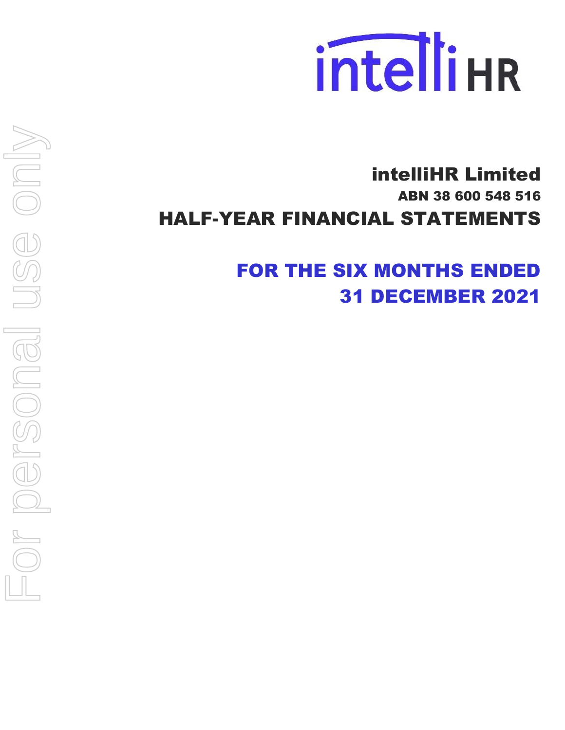

# intelliHR Limited ABN 38 600 548 516 HALF-YEAR FINANCIAL STATEMENTS

FOR THE SIX MONTHS ENDED 31 DECEMBER 2021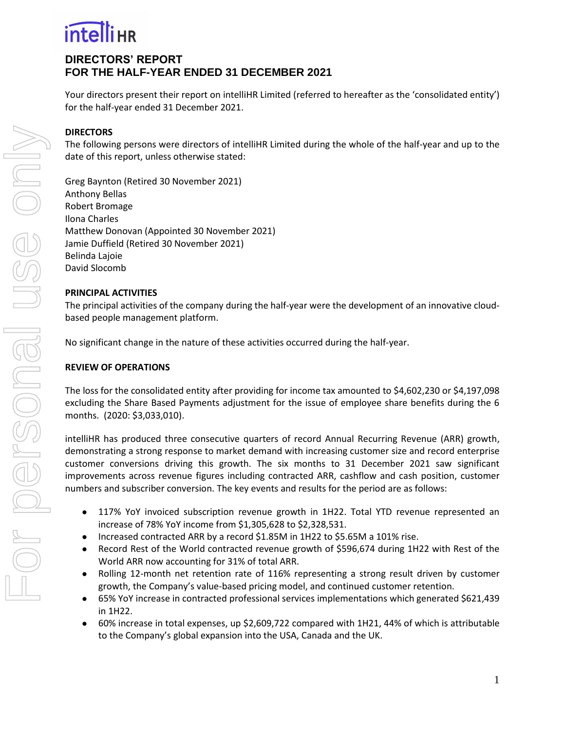# **DIRECTORS' REPORT FOR THE HALF-YEAR ENDED 31 DECEMBER 2021**

Your directors present their report on intelliHR Limited (referred to hereafter as the 'consolidated entity') for the half-year ended 31 December 2021.

### **DIRECTORS**

The following persons were directors of intelliHR Limited during the whole of the half-year and up to the date of this report, unless otherwise stated:

Greg Baynton (Retired 30 November 2021) Anthony Bellas Robert Bromage Ilona Charles Matthew Donovan (Appointed 30 November 2021) Jamie Duffield (Retired 30 November 2021) Belinda Lajoie David Slocomb

#### **PRINCIPAL ACTIVITIES**

The principal activities of the company during the half-year were the development of an innovative cloudbased people management platform.

No significant change in the nature of these activities occurred during the half-year.

#### **REVIEW OF OPERATIONS**

The loss for the consolidated entity after providing for income tax amounted to \$4,602,230 or \$4,197,098 excluding the Share Based Payments adjustment for the issue of employee share benefits during the 6 months. (2020: \$3,033,010).

intelliHR has produced three consecutive quarters of record Annual Recurring Revenue (ARR) growth, demonstrating a strong response to market demand with increasing customer size and record enterprise customer conversions driving this growth. The six months to 31 December 2021 saw significant improvements across revenue figures including contracted ARR, cashflow and cash position, customer numbers and subscriber conversion. The key events and results for the period are as follows:

- 117% YoY invoiced subscription revenue growth in 1H22. Total YTD revenue represented an increase of 78% YoY income from \$1,305,628 to \$2,328,531.
- Increased contracted ARR by a record \$1.85M in 1H22 to \$5.65M a 101% rise.
- Record Rest of the World contracted revenue growth of \$596,674 during 1H22 with Rest of the World ARR now accounting for 31% of total ARR.
- Rolling 12-month net retention rate of 116% representing a strong result driven by customer growth, the Company's value-based pricing model, and continued customer retention.
- 65% YoY increase in contracted professional services implementations which generated \$621,439 in 1H22.
- 60% increase in total expenses, up \$2,609,722 compared with 1H21, 44% of which is attributable to the Company's global expansion into the USA, Canada and the UK.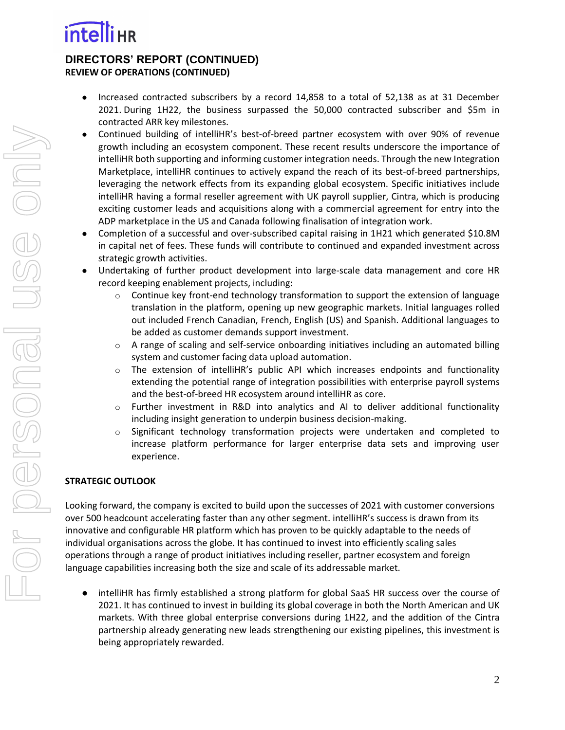

### **DIRECTORS' REPORT (CONTINUED) REVIEW OF OPERATIONS (CONTINUED)**

- Increased contracted subscribers by a record 14,858 to a total of 52,138 as at 31 December 2021. During 1H22, the business surpassed the 50,000 contracted subscriber and \$5m in contracted ARR key milestones.
- Continued building of intelliHR's best-of-breed partner ecosystem with over 90% of revenue growth including an ecosystem component. These recent results underscore the importance of intelliHR both supporting and informing customer integration needs. Through the new Integration Marketplace, intelliHR continues to actively expand the reach of its best-of-breed partnerships, leveraging the network effects from its expanding global ecosystem. Specific initiatives include intelliHR having a formal reseller agreement with UK payroll supplier, Cintra, which is producing exciting customer leads and acquisitions along with a commercial agreement for entry into the ADP marketplace in the US and Canada following finalisation of integration work.
- Completion of a successful and over-subscribed capital raising in 1H21 which generated \$10.8M in capital net of fees. These funds will contribute to continued and expanded investment across strategic growth activities.
- Undertaking of further product development into large-scale data management and core HR record keeping enablement projects, including:
	- $\circ$  Continue key front-end technology transformation to support the extension of language translation in the platform, opening up new geographic markets. Initial languages rolled out included French Canadian, French, English (US) and Spanish. Additional languages to be added as customer demands support investment.
	- $\circ$  A range of scaling and self-service onboarding initiatives including an automated billing system and customer facing data upload automation.
	- $\circ$  The extension of intelliHR's public API which increases endpoints and functionality extending the potential range of integration possibilities with enterprise payroll systems and the best-of-breed HR ecosystem around intelliHR as core.
	- $\circ$  Further investment in R&D into analytics and AI to deliver additional functionality including insight generation to underpin business decision-making.
	- $\circ$  Significant technology transformation projects were undertaken and completed to increase platform performance for larger enterprise data sets and improving user experience.

# **STRATEGIC OUTLOOK**

Looking forward, the company is excited to build upon the successes of 2021 with customer conversions over 500 headcount accelerating faster than any other segment. intelliHR's success is drawn from its innovative and configurable HR platform which has proven to be quickly adaptable to the needs of individual organisations across the globe. It has continued to invest into efficiently scaling sales operations through a range of product initiatives including reseller, partner ecosystem and foreign language capabilities increasing both the size and scale of its addressable market.

intelliHR has firmly established a strong platform for global SaaS HR success over the course of 2021. It has continued to invest in building its global coverage in both the North American and UK markets. With three global enterprise conversions during 1H22, and the addition of the Cintra partnership already generating new leads strengthening our existing pipelines, this investment is being appropriately rewarded.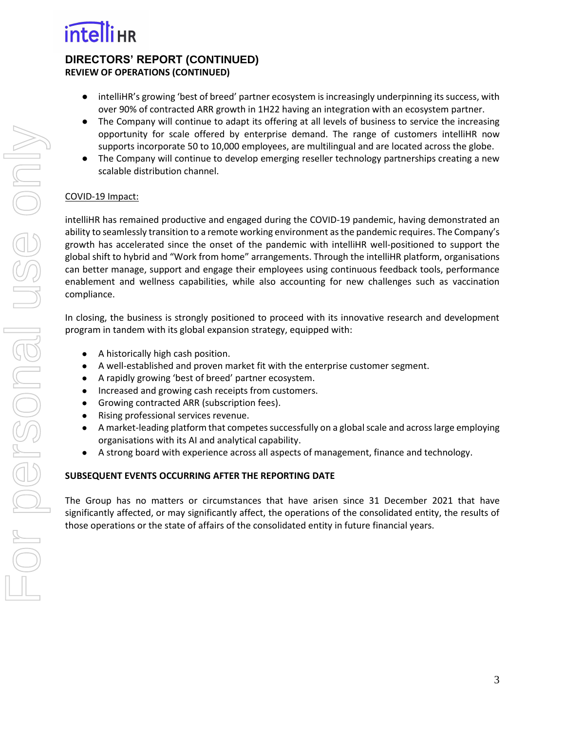### **DIRECTORS' REPORT (CONTINUED) REVIEW OF OPERATIONS (CONTINUED)**

- intelliHR's growing 'best of breed' partner ecosystem is increasingly underpinning its success, with over 90% of contracted ARR growth in 1H22 having an integration with an ecosystem partner.
- The Company will continue to adapt its offering at all levels of business to service the increasing opportunity for scale offered by enterprise demand. The range of customers intelliHR now supports incorporate 50 to 10,000 employees, are multilingual and are located across the globe.
- The Company will continue to develop emerging reseller technology partnerships creating a new scalable distribution channel.

# COVID-19 Impact:

intelliHR has remained productive and engaged during the COVID-19 pandemic, having demonstrated an ability to seamlessly transition to a remote working environment as the pandemic requires. The Company's growth has accelerated since the onset of the pandemic with intelliHR well-positioned to support the global shift to hybrid and "Work from home" arrangements. Through the intelliHR platform, organisations can better manage, support and engage their employees using continuous feedback tools, performance enablement and wellness capabilities, while also accounting for new challenges such as vaccination compliance.

In closing, the business is strongly positioned to proceed with its innovative research and development program in tandem with its global expansion strategy, equipped with:

- A historically high cash position.
- A well-established and proven market fit with the enterprise customer segment.
- A rapidly growing 'best of breed' partner ecosystem.
- Increased and growing cash receipts from customers.
- Growing contracted ARR (subscription fees).
- Rising professional services revenue.
- A market-leading platform that competes successfully on a global scale and across large employing organisations with its AI and analytical capability.
- A strong board with experience across all aspects of management, finance and technology.

# **SUBSEQUENT EVENTS OCCURRING AFTER THE REPORTING DATE**

The Group has no matters or circumstances that have arisen since 31 December 2021 that have significantly affected, or may significantly affect, the operations of the consolidated entity, the results of those operations or the state of affairs of the consolidated entity in future financial years.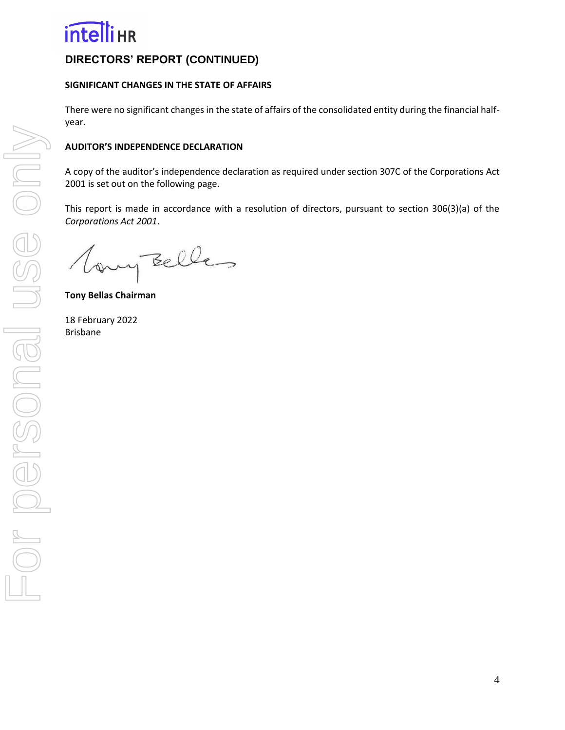

# **DIRECTORS' REPORT (CONTINUED)**

#### **SIGNIFICANT CHANGES IN THE STATE OF AFFAIRS**

There were no significant changes in the state of affairs of the consolidated entity during the financial halfyear.

#### **AUDITOR'S INDEPENDENCE DECLARATION**

A copy of the auditor's independence declaration as required under section 307C of the Corporations Act 2001 is set out on the following page.

This report is made in accordance with a resolution of directors, pursuant to section 306(3)(a) of the *Corporations Act 2001*.

any Belles

**Tony Bellas Chairman** 

18 February 2022 Brisbane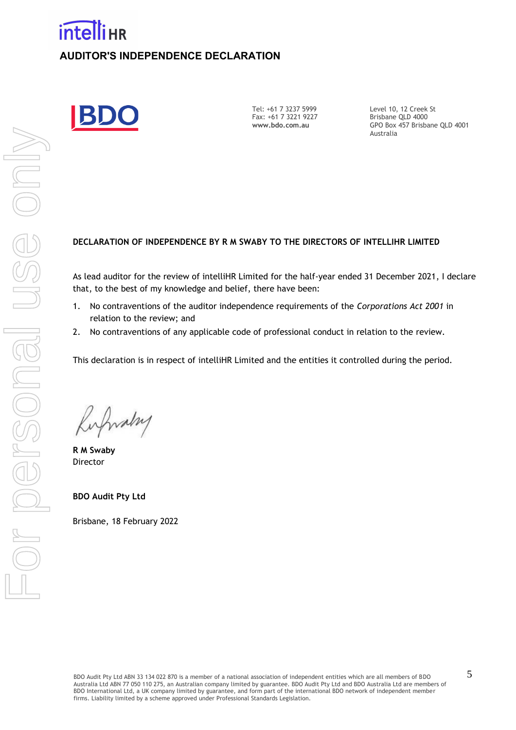# **intelli**HR **AUDITOR'S INDEPENDENCE DECLARATION**

Tel: +61 7 3237 5999 Fax: +61 7 3221 9227 **www.bdo.com.au** 

Level 10, 12 Creek St Brisbane QLD 4000 GPO Box 457 Brisbane QLD 4001 Australia

#### **DECLARATION OF INDEPENDENCE BY R M SWABY TO THE DIRECTORS OF INTELLIHR LIMITED**

As lead auditor for the review of intelliHR Limited for the half-year ended 31 December 2021, I declare that, to the best of my knowledge and belief, there have been:

- 1. No contraventions of the auditor independence requirements of the *Corporations Act 2001* in relation to the review; and
- 2. No contraventions of any applicable code of professional conduct in relation to the review.

This declaration is in respect of intelliHR Limited and the entities it controlled during the period.

Kirfwalny

**R M Swaby**  Director

#### **BDO Audit Pty Ltd**

Brisbane, 18 February 2022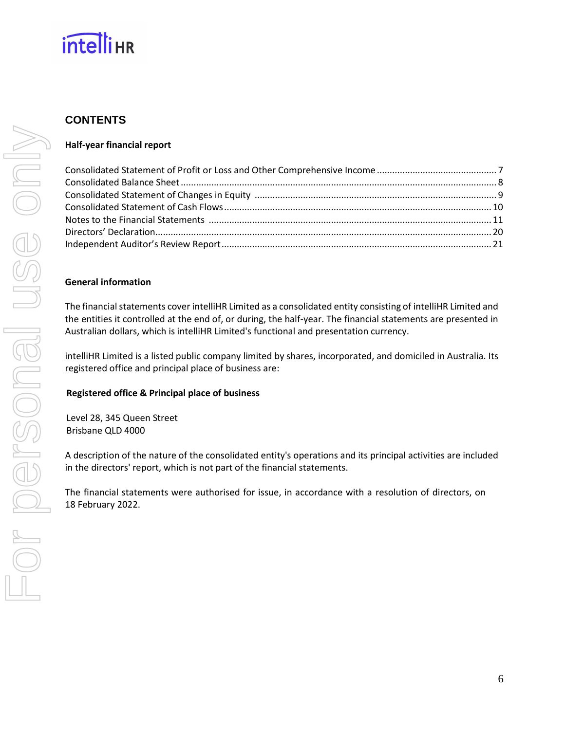

# **CONTENTS**

#### **Half-year financial report**

#### **General information**

The financial statements cover intelliHR Limited as a consolidated entity consisting of intelliHR Limited and the entities it controlled at the end of, or during, the half-year. The financial statements are presented in Australian dollars, which is intelliHR Limited's functional and presentation currency.

intelliHR Limited is a listed public company limited by shares, incorporated, and domiciled in Australia. Its registered office and principal place of business are:

#### **Registered office & Principal place of business**

Level 28, 345 Queen Street Brisbane QLD 4000

A description of the nature of the consolidated entity's operations and its principal activities are included in the directors' report, which is not part of the financial statements.

The financial statements were authorised for issue, in accordance with a resolution of directors, on 18 February 2022.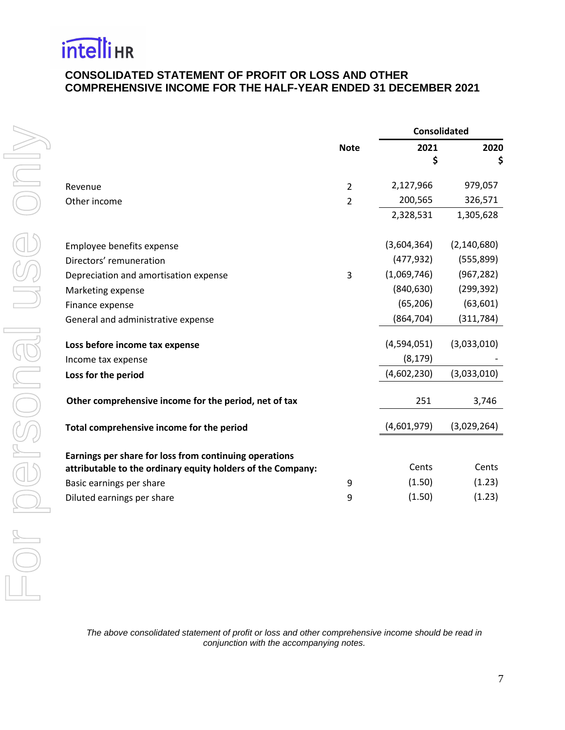# <span id="page-8-0"></span>**CONSOLIDATED STATEMENT OF PROFIT OR LOSS AND OTHER COMPREHENSIVE INCOME FOR THE HALF-YEAR ENDED 31 DECEMBER 2021**

|                                                                                                                       |                | <b>Consolidated</b> |               |  |
|-----------------------------------------------------------------------------------------------------------------------|----------------|---------------------|---------------|--|
|                                                                                                                       | <b>Note</b>    | 2021<br>\$          | 2020<br>\$    |  |
| Revenue                                                                                                               | $\overline{2}$ | 2,127,966           | 979,057       |  |
| Other income                                                                                                          | $\overline{2}$ | 200,565             | 326,571       |  |
|                                                                                                                       |                | 2,328,531           | 1,305,628     |  |
| Employee benefits expense                                                                                             |                | (3,604,364)         | (2, 140, 680) |  |
| Directors' remuneration                                                                                               |                | (477, 932)          | (555, 899)    |  |
| Depreciation and amortisation expense                                                                                 | 3              | (1,069,746)         | (967, 282)    |  |
| Marketing expense                                                                                                     |                | (840, 630)          | (299, 392)    |  |
| Finance expense                                                                                                       |                | (65, 206)           | (63, 601)     |  |
| General and administrative expense                                                                                    |                | (864, 704)          | (311, 784)    |  |
| Loss before income tax expense                                                                                        |                | (4,594,051)         | (3,033,010)   |  |
| Income tax expense                                                                                                    |                | (8, 179)            |               |  |
| Loss for the period                                                                                                   |                | (4,602,230)         | (3,033,010)   |  |
| Other comprehensive income for the period, net of tax                                                                 |                | 251                 | 3,746         |  |
| Total comprehensive income for the period                                                                             |                | (4,601,979)         | (3,029,264)   |  |
| Earnings per share for loss from continuing operations<br>attributable to the ordinary equity holders of the Company: |                | Cents               | Cents         |  |
| Basic earnings per share                                                                                              | 9              | (1.50)              | (1.23)        |  |
| Diluted earnings per share                                                                                            | 9              | (1.50)              | (1.23)        |  |
|                                                                                                                       |                |                     |               |  |

<span id="page-8-1"></span>*The above consolidated statement of profit or loss and other comprehensive income should be read in conjunction with the accompanying notes.*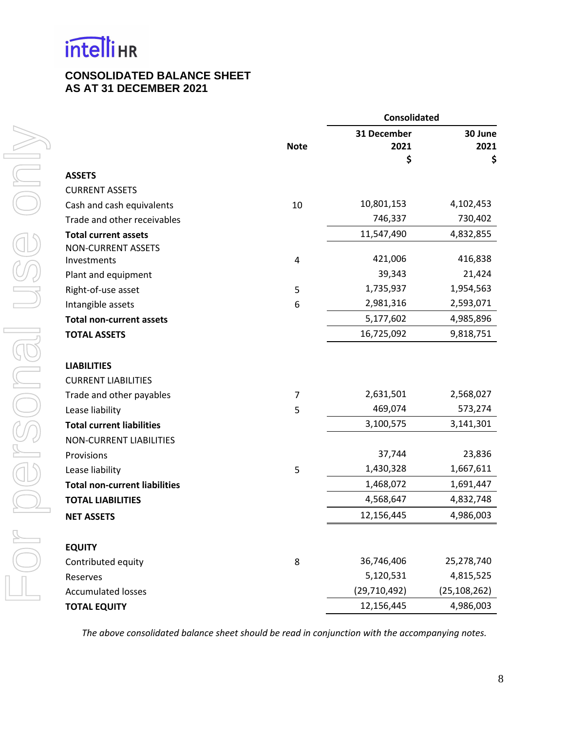# **CONSOLIDATED BALANCE SHEET AS AT 31 DECEMBER 2021**

|                                      |             | <b>Consolidated</b> |                |  |
|--------------------------------------|-------------|---------------------|----------------|--|
|                                      |             | 31 December         | 30 June        |  |
|                                      | <b>Note</b> | 2021                | 2021           |  |
|                                      |             | \$                  | \$             |  |
| <b>ASSETS</b>                        |             |                     |                |  |
| <b>CURRENT ASSETS</b>                |             |                     |                |  |
| Cash and cash equivalents            | 10          | 10,801,153          | 4,102,453      |  |
| Trade and other receivables          |             | 746,337             | 730,402        |  |
| <b>Total current assets</b>          |             | 11,547,490          | 4,832,855      |  |
| <b>NON-CURRENT ASSETS</b>            |             | 421,006             | 416,838        |  |
| Investments                          | 4           | 39,343              | 21,424         |  |
| Plant and equipment                  |             | 1,735,937           | 1,954,563      |  |
| Right-of-use asset                   | 5           | 2,981,316           |                |  |
| Intangible assets                    | 6           |                     | 2,593,071      |  |
| <b>Total non-current assets</b>      |             | 5,177,602           | 4,985,896      |  |
| <b>TOTAL ASSETS</b>                  |             | 16,725,092          | 9,818,751      |  |
| <b>LIABILITIES</b>                   |             |                     |                |  |
| <b>CURRENT LIABILITIES</b>           |             |                     |                |  |
| Trade and other payables             | 7           | 2,631,501           | 2,568,027      |  |
| Lease liability                      | 5           | 469,074             | 573,274        |  |
| <b>Total current liabilities</b>     |             | 3,100,575           | 3,141,301      |  |
| <b>NON-CURRENT LIABILITIES</b>       |             |                     |                |  |
| Provisions                           |             | 37,744              | 23,836         |  |
| Lease liability                      | 5           | 1,430,328           | 1,667,611      |  |
| <b>Total non-current liabilities</b> |             | 1,468,072           | 1,691,447      |  |
| <b>TOTAL LIABILITIES</b>             |             | 4,568,647           | 4,832,748      |  |
| <b>NET ASSETS</b>                    |             | 12,156,445          | 4,986,003      |  |
| <b>EQUITY</b>                        |             |                     |                |  |
| Contributed equity                   | 8           | 36,746,406          | 25,278,740     |  |
| Reserves                             |             | 5,120,531           | 4,815,525      |  |
| <b>Accumulated losses</b>            |             | (29, 710, 492)      | (25, 108, 262) |  |
| <b>TOTAL EQUITY</b>                  |             | 12,156,445          | 4,986,003      |  |

*The above consolidated balance sheet should be read in conjunction with the accompanying notes.*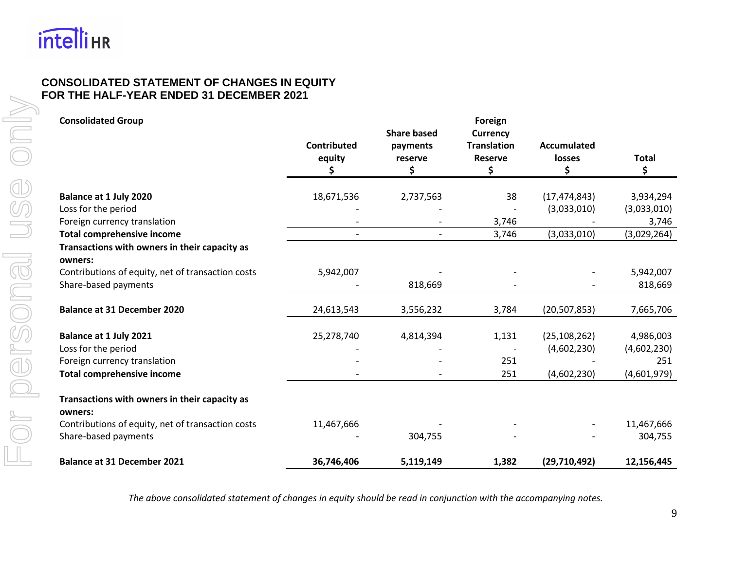

# **CONSOLIDATED STATEMENT OF CHANGES IN EQUITY FOR THE HALF-YEAR ENDED 31 DECEMBER 2021**

<span id="page-10-0"></span>

| <b>Consolidated Group</b>                                |                    |                          | Foreign            |                    |              |
|----------------------------------------------------------|--------------------|--------------------------|--------------------|--------------------|--------------|
|                                                          |                    | <b>Share based</b>       | <b>Currency</b>    |                    |              |
|                                                          | <b>Contributed</b> | payments                 | <b>Translation</b> | <b>Accumulated</b> |              |
|                                                          | equity             | reserve                  | <b>Reserve</b>     | losses             | <b>Total</b> |
|                                                          | \$                 | \$                       | \$                 | \$                 | \$           |
| Balance at 1 July 2020                                   | 18,671,536         | 2,737,563                | 38                 | (17, 474, 843)     | 3,934,294    |
| Loss for the period                                      |                    |                          |                    | (3,033,010)        | (3,033,010)  |
| Foreign currency translation                             |                    |                          | 3,746              |                    | 3,746        |
| <b>Total comprehensive income</b>                        | $\overline{a}$     | $\overline{\phantom{a}}$ | 3,746              | (3,033,010)        | (3,029,264)  |
| Transactions with owners in their capacity as<br>owners: |                    |                          |                    |                    |              |
| Contributions of equity, net of transaction costs        | 5,942,007          |                          |                    |                    | 5,942,007    |
| Share-based payments                                     |                    | 818,669                  |                    |                    | 818,669      |
| <b>Balance at 31 December 2020</b>                       | 24,613,543         | 3,556,232                | 3,784              | (20, 507, 853)     | 7,665,706    |
| Balance at 1 July 2021                                   | 25,278,740         | 4,814,394                | 1,131              | (25, 108, 262)     | 4,986,003    |
| Loss for the period                                      |                    |                          |                    | (4,602,230)        | (4,602,230)  |
| Foreign currency translation                             |                    |                          | 251                |                    | 251          |
| <b>Total comprehensive income</b>                        |                    |                          | 251                | (4,602,230)        | (4,601,979)  |
| Transactions with owners in their capacity as<br>owners: |                    |                          |                    |                    |              |
| Contributions of equity, net of transaction costs        | 11,467,666         |                          |                    |                    | 11,467,666   |
| Share-based payments                                     |                    | 304,755                  |                    |                    | 304,755      |
| <b>Balance at 31 December 2021</b>                       | 36,746,406         | 5,119,149                | 1,382              | (29,710,492)       | 12,156,445   |

*The above consolidated statement of changes in equity should be read in conjunction with the accompanying notes.*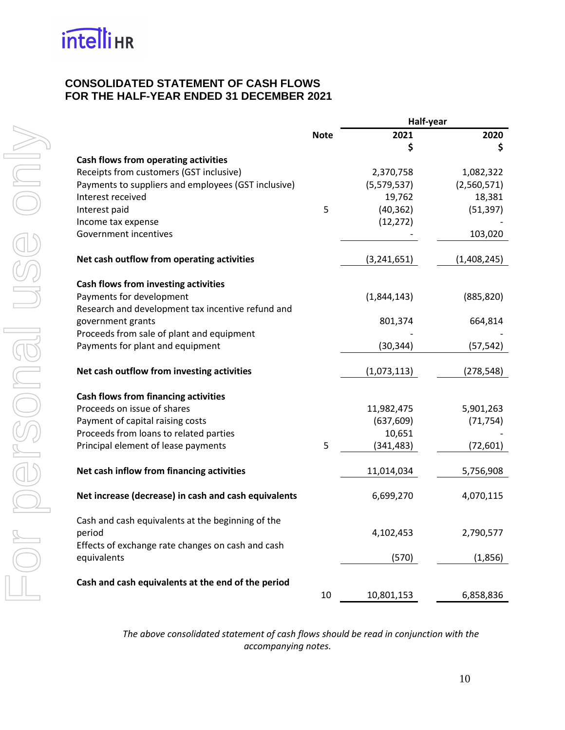# <span id="page-11-0"></span>**CONSOLIDATED STATEMENT OF CASH FLOWS FOR THE HALF-YEAR ENDED 31 DECEMBER 2021**

| 2020<br>2021<br><b>Note</b><br>\$<br>\$<br>Cash flows from operating activities<br>Receipts from customers (GST inclusive)<br>2,370,758<br>1,082,322<br>Payments to suppliers and employees (GST inclusive)<br>(5,579,537)<br>(2,560,571)<br>Interest received<br>19,762<br>18,381<br>5<br>(40, 362)<br>(51, 397)<br>Interest paid<br>(12, 272)<br>Income tax expense<br>Government incentives<br>103,020<br>Net cash outflow from operating activities<br>(3, 241, 651)<br>(1,408,245)<br>Cash flows from investing activities<br>Payments for development<br>(1,844,143)<br>(885, 820)<br>Research and development tax incentive refund and<br>government grants<br>801,374<br>664,814<br>Proceeds from sale of plant and equipment<br>Payments for plant and equipment<br>(30, 344)<br>(57, 542)<br>Net cash outflow from investing activities<br>(1,073,113)<br>(278, 548)<br><b>Cash flows from financing activities</b><br>Proceeds on issue of shares<br>11,982,475<br>5,901,263<br>Payment of capital raising costs<br>(637, 609)<br>(71, 754)<br>Proceeds from loans to related parties<br>10,651<br>Principal element of lease payments<br>5<br>(341, 483)<br>(72, 601)<br>Net cash inflow from financing activities<br>11,014,034<br>5,756,908<br>Net increase (decrease) in cash and cash equivalents<br>6,699,270<br>4,070,115<br>Cash and cash equivalents at the beginning of the<br>period<br>4,102,453<br>2,790,577<br>Effects of exchange rate changes on cash and cash<br>equivalents<br>(570)<br>(1,856)<br>Cash and cash equivalents at the end of the period<br>10<br>10,801,153<br>6,858,836 |  | Half-year |  |  |
|---------------------------------------------------------------------------------------------------------------------------------------------------------------------------------------------------------------------------------------------------------------------------------------------------------------------------------------------------------------------------------------------------------------------------------------------------------------------------------------------------------------------------------------------------------------------------------------------------------------------------------------------------------------------------------------------------------------------------------------------------------------------------------------------------------------------------------------------------------------------------------------------------------------------------------------------------------------------------------------------------------------------------------------------------------------------------------------------------------------------------------------------------------------------------------------------------------------------------------------------------------------------------------------------------------------------------------------------------------------------------------------------------------------------------------------------------------------------------------------------------------------------------------------------------------------------------------------------------------------------|--|-----------|--|--|
|                                                                                                                                                                                                                                                                                                                                                                                                                                                                                                                                                                                                                                                                                                                                                                                                                                                                                                                                                                                                                                                                                                                                                                                                                                                                                                                                                                                                                                                                                                                                                                                                                     |  |           |  |  |
|                                                                                                                                                                                                                                                                                                                                                                                                                                                                                                                                                                                                                                                                                                                                                                                                                                                                                                                                                                                                                                                                                                                                                                                                                                                                                                                                                                                                                                                                                                                                                                                                                     |  |           |  |  |
|                                                                                                                                                                                                                                                                                                                                                                                                                                                                                                                                                                                                                                                                                                                                                                                                                                                                                                                                                                                                                                                                                                                                                                                                                                                                                                                                                                                                                                                                                                                                                                                                                     |  |           |  |  |
|                                                                                                                                                                                                                                                                                                                                                                                                                                                                                                                                                                                                                                                                                                                                                                                                                                                                                                                                                                                                                                                                                                                                                                                                                                                                                                                                                                                                                                                                                                                                                                                                                     |  |           |  |  |
|                                                                                                                                                                                                                                                                                                                                                                                                                                                                                                                                                                                                                                                                                                                                                                                                                                                                                                                                                                                                                                                                                                                                                                                                                                                                                                                                                                                                                                                                                                                                                                                                                     |  |           |  |  |
|                                                                                                                                                                                                                                                                                                                                                                                                                                                                                                                                                                                                                                                                                                                                                                                                                                                                                                                                                                                                                                                                                                                                                                                                                                                                                                                                                                                                                                                                                                                                                                                                                     |  |           |  |  |
|                                                                                                                                                                                                                                                                                                                                                                                                                                                                                                                                                                                                                                                                                                                                                                                                                                                                                                                                                                                                                                                                                                                                                                                                                                                                                                                                                                                                                                                                                                                                                                                                                     |  |           |  |  |
|                                                                                                                                                                                                                                                                                                                                                                                                                                                                                                                                                                                                                                                                                                                                                                                                                                                                                                                                                                                                                                                                                                                                                                                                                                                                                                                                                                                                                                                                                                                                                                                                                     |  |           |  |  |
|                                                                                                                                                                                                                                                                                                                                                                                                                                                                                                                                                                                                                                                                                                                                                                                                                                                                                                                                                                                                                                                                                                                                                                                                                                                                                                                                                                                                                                                                                                                                                                                                                     |  |           |  |  |
|                                                                                                                                                                                                                                                                                                                                                                                                                                                                                                                                                                                                                                                                                                                                                                                                                                                                                                                                                                                                                                                                                                                                                                                                                                                                                                                                                                                                                                                                                                                                                                                                                     |  |           |  |  |
|                                                                                                                                                                                                                                                                                                                                                                                                                                                                                                                                                                                                                                                                                                                                                                                                                                                                                                                                                                                                                                                                                                                                                                                                                                                                                                                                                                                                                                                                                                                                                                                                                     |  |           |  |  |
|                                                                                                                                                                                                                                                                                                                                                                                                                                                                                                                                                                                                                                                                                                                                                                                                                                                                                                                                                                                                                                                                                                                                                                                                                                                                                                                                                                                                                                                                                                                                                                                                                     |  |           |  |  |
|                                                                                                                                                                                                                                                                                                                                                                                                                                                                                                                                                                                                                                                                                                                                                                                                                                                                                                                                                                                                                                                                                                                                                                                                                                                                                                                                                                                                                                                                                                                                                                                                                     |  |           |  |  |
|                                                                                                                                                                                                                                                                                                                                                                                                                                                                                                                                                                                                                                                                                                                                                                                                                                                                                                                                                                                                                                                                                                                                                                                                                                                                                                                                                                                                                                                                                                                                                                                                                     |  |           |  |  |
|                                                                                                                                                                                                                                                                                                                                                                                                                                                                                                                                                                                                                                                                                                                                                                                                                                                                                                                                                                                                                                                                                                                                                                                                                                                                                                                                                                                                                                                                                                                                                                                                                     |  |           |  |  |
|                                                                                                                                                                                                                                                                                                                                                                                                                                                                                                                                                                                                                                                                                                                                                                                                                                                                                                                                                                                                                                                                                                                                                                                                                                                                                                                                                                                                                                                                                                                                                                                                                     |  |           |  |  |
|                                                                                                                                                                                                                                                                                                                                                                                                                                                                                                                                                                                                                                                                                                                                                                                                                                                                                                                                                                                                                                                                                                                                                                                                                                                                                                                                                                                                                                                                                                                                                                                                                     |  |           |  |  |
|                                                                                                                                                                                                                                                                                                                                                                                                                                                                                                                                                                                                                                                                                                                                                                                                                                                                                                                                                                                                                                                                                                                                                                                                                                                                                                                                                                                                                                                                                                                                                                                                                     |  |           |  |  |
|                                                                                                                                                                                                                                                                                                                                                                                                                                                                                                                                                                                                                                                                                                                                                                                                                                                                                                                                                                                                                                                                                                                                                                                                                                                                                                                                                                                                                                                                                                                                                                                                                     |  |           |  |  |
|                                                                                                                                                                                                                                                                                                                                                                                                                                                                                                                                                                                                                                                                                                                                                                                                                                                                                                                                                                                                                                                                                                                                                                                                                                                                                                                                                                                                                                                                                                                                                                                                                     |  |           |  |  |
|                                                                                                                                                                                                                                                                                                                                                                                                                                                                                                                                                                                                                                                                                                                                                                                                                                                                                                                                                                                                                                                                                                                                                                                                                                                                                                                                                                                                                                                                                                                                                                                                                     |  |           |  |  |
|                                                                                                                                                                                                                                                                                                                                                                                                                                                                                                                                                                                                                                                                                                                                                                                                                                                                                                                                                                                                                                                                                                                                                                                                                                                                                                                                                                                                                                                                                                                                                                                                                     |  |           |  |  |
|                                                                                                                                                                                                                                                                                                                                                                                                                                                                                                                                                                                                                                                                                                                                                                                                                                                                                                                                                                                                                                                                                                                                                                                                                                                                                                                                                                                                                                                                                                                                                                                                                     |  |           |  |  |
|                                                                                                                                                                                                                                                                                                                                                                                                                                                                                                                                                                                                                                                                                                                                                                                                                                                                                                                                                                                                                                                                                                                                                                                                                                                                                                                                                                                                                                                                                                                                                                                                                     |  |           |  |  |
|                                                                                                                                                                                                                                                                                                                                                                                                                                                                                                                                                                                                                                                                                                                                                                                                                                                                                                                                                                                                                                                                                                                                                                                                                                                                                                                                                                                                                                                                                                                                                                                                                     |  |           |  |  |
|                                                                                                                                                                                                                                                                                                                                                                                                                                                                                                                                                                                                                                                                                                                                                                                                                                                                                                                                                                                                                                                                                                                                                                                                                                                                                                                                                                                                                                                                                                                                                                                                                     |  |           |  |  |
|                                                                                                                                                                                                                                                                                                                                                                                                                                                                                                                                                                                                                                                                                                                                                                                                                                                                                                                                                                                                                                                                                                                                                                                                                                                                                                                                                                                                                                                                                                                                                                                                                     |  |           |  |  |
|                                                                                                                                                                                                                                                                                                                                                                                                                                                                                                                                                                                                                                                                                                                                                                                                                                                                                                                                                                                                                                                                                                                                                                                                                                                                                                                                                                                                                                                                                                                                                                                                                     |  |           |  |  |
|                                                                                                                                                                                                                                                                                                                                                                                                                                                                                                                                                                                                                                                                                                                                                                                                                                                                                                                                                                                                                                                                                                                                                                                                                                                                                                                                                                                                                                                                                                                                                                                                                     |  |           |  |  |
|                                                                                                                                                                                                                                                                                                                                                                                                                                                                                                                                                                                                                                                                                                                                                                                                                                                                                                                                                                                                                                                                                                                                                                                                                                                                                                                                                                                                                                                                                                                                                                                                                     |  |           |  |  |

*The above consolidated statement of cash flows should be read in conjunction with the accompanying notes.*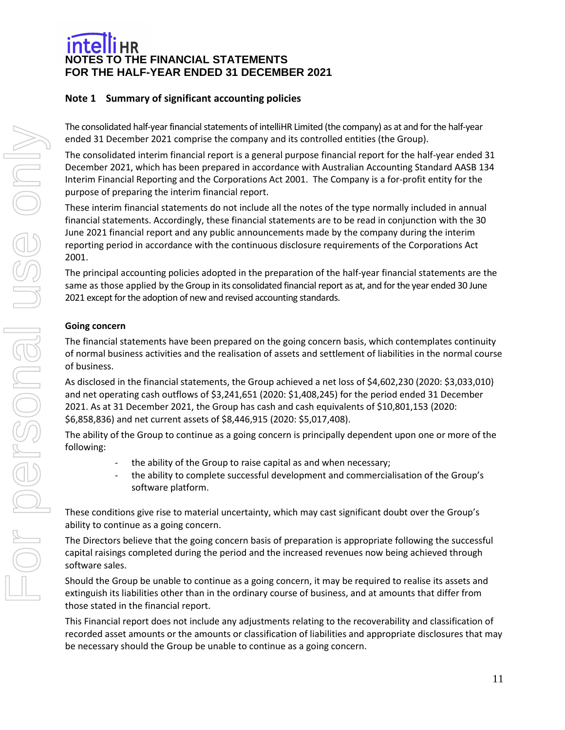# <span id="page-12-0"></span>**Note 1 Summary of significant accounting policies**

The consolidated half-year financial statements of intelliHR Limited (the company) as at and for the half-year ended 31 December 2021 comprise the company and its controlled entities (the Group).

The consolidated interim financial report is a general purpose financial report for the half-year ended 31 December 2021, which has been prepared in accordance with Australian Accounting Standard AASB 134 Interim Financial Reporting and the Corporations Act 2001. The Company is a for-profit entity for the purpose of preparing the interim financial report.

These interim financial statements do not include all the notes of the type normally included in annual financial statements. Accordingly, these financial statements are to be read in conjunction with the 30 June 2021 financial report and any public announcements made by the company during the interim reporting period in accordance with the continuous disclosure requirements of the Corporations Act 2001.

The principal accounting policies adopted in the preparation of the half-year financial statements are the same as those applied by the Group in its consolidated financial report as at, and for the year ended 30 June 2021 except for the adoption of new and revised accounting standards.

#### **Going concern**

The financial statements have been prepared on the going concern basis, which contemplates continuity of normal business activities and the realisation of assets and settlement of liabilities in the normal course of business.

As disclosed in the financial statements, the Group achieved a net loss of \$4,602,230 (2020: \$3,033,010) and net operating cash outflows of \$3,241,651 (2020: \$1,408,245) for the period ended 31 December 2021. As at 31 December 2021, the Group has cash and cash equivalents of \$10,801,153 (2020: \$6,858,836) and net current assets of \$8,446,915 (2020: \$5,017,408).

The ability of the Group to continue as a going concern is principally dependent upon one or more of the following:

- the ability of the Group to raise capital as and when necessary;
- the ability to complete successful development and commercialisation of the Group's software platform.

These conditions give rise to material uncertainty, which may cast significant doubt over the Group's ability to continue as a going concern.

The Directors believe that the going concern basis of preparation is appropriate following the successful capital raisings completed during the period and the increased revenues now being achieved through software sales.

Should the Group be unable to continue as a going concern, it may be required to realise its assets and extinguish its liabilities other than in the ordinary course of business, and at amounts that differ from those stated in the financial report.

This Financial report does not include any adjustments relating to the recoverability and classification of recorded asset amounts or the amounts or classification of liabilities and appropriate disclosures that may be necessary should the Group be unable to continue as a going concern.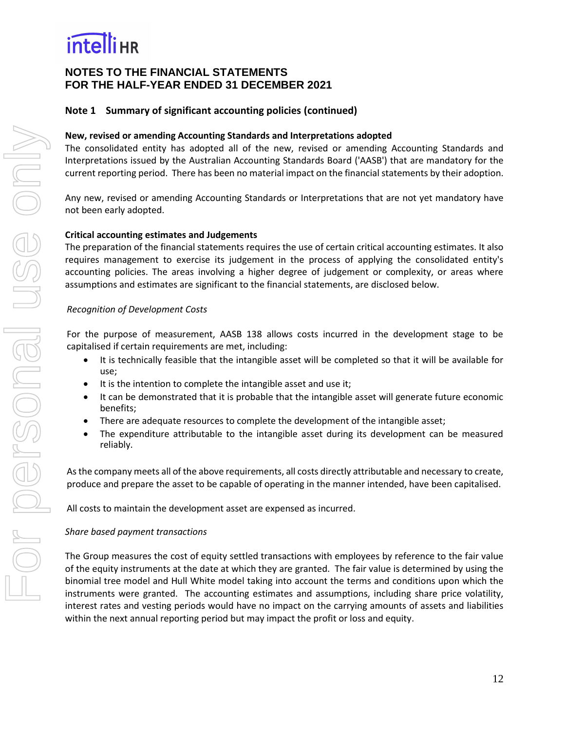# **NOTES TO THE FINANCIAL STATEMENTS FOR THE HALF-YEAR ENDED 31 DECEMBER 2021**

# **Note 1 Summary of significant accounting policies (continued)**

### **New, revised or amending Accounting Standards and Interpretations adopted**

The consolidated entity has adopted all of the new, revised or amending Accounting Standards and Interpretations issued by the Australian Accounting Standards Board ('AASB') that are mandatory for the current reporting period. There has been no material impact on the financial statements by their adoption.

Any new, revised or amending Accounting Standards or Interpretations that are not yet mandatory have not been early adopted.

#### **Critical accounting estimates and Judgements**

The preparation of the financial statements requires the use of certain critical accounting estimates. It also requires management to exercise its judgement in the process of applying the consolidated entity's accounting policies. The areas involving a higher degree of judgement or complexity, or areas where assumptions and estimates are significant to the financial statements, are disclosed below.

#### *Recognition of Development Costs*

For the purpose of measurement, AASB 138 allows costs incurred in the development stage to be capitalised if certain requirements are met, including:

- It is technically feasible that the intangible asset will be completed so that it will be available for use;
- It is the intention to complete the intangible asset and use it;
- It can be demonstrated that it is probable that the intangible asset will generate future economic benefits;
- There are adequate resources to complete the development of the intangible asset;
- The expenditure attributable to the intangible asset during its development can be measured reliably.

As the company meets all of the above requirements, all costs directly attributable and necessary to create, produce and prepare the asset to be capable of operating in the manner intended, have been capitalised.

All costs to maintain the development asset are expensed as incurred.

#### *Share based payment transactions*

The Group measures the cost of equity settled transactions with employees by reference to the fair value of the equity instruments at the date at which they are granted. The fair value is determined by using the binomial tree model and Hull White model taking into account the terms and conditions upon which the instruments were granted. The accounting estimates and assumptions, including share price volatility, interest rates and vesting periods would have no impact on the carrying amounts of assets and liabilities within the next annual reporting period but may impact the profit or loss and equity.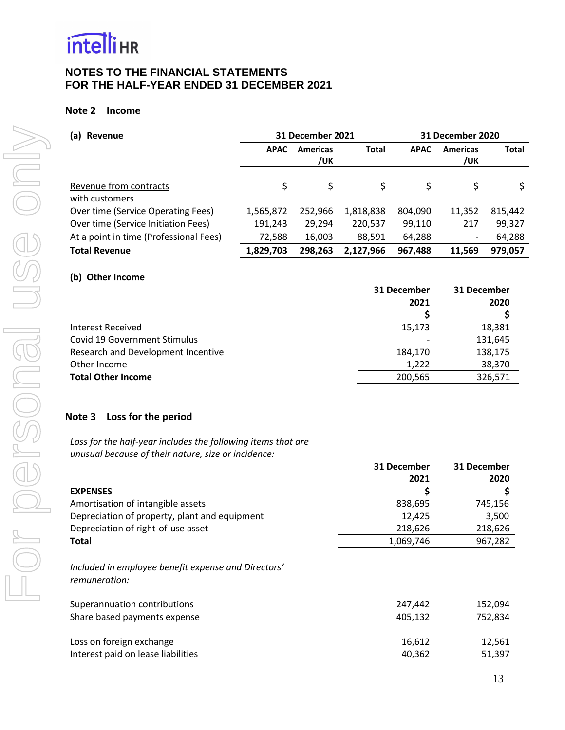

#### **Note 2 Income**

| Revenue<br>(a)                           | <b>31 December 2021</b> |                        | <b>31 December 2020</b> |             |                        |              |
|------------------------------------------|-------------------------|------------------------|-------------------------|-------------|------------------------|--------------|
|                                          | <b>APAC</b>             | <b>Americas</b><br>/UK | <b>Total</b>            | <b>APAC</b> | <b>Americas</b><br>/uk | <b>Total</b> |
| Revenue from contracts<br>with customers | \$                      | \$                     | \$                      | \$          | \$                     | \$           |
| Over time (Service Operating Fees)       | 1,565,872               | 252,966                | 1,818,838               | 804,090     | 11,352                 | 815,442      |
| Over time (Service Initiation Fees)      | 191,243                 | 29,294                 | 220,537                 | 99,110      | 217                    | 99,327       |
| At a point in time (Professional Fees)   | 72,588                  | 16,003                 | 88,591                  | 64,288      | -                      | 64,288       |
| <b>Total Revenue</b>                     | 1,829,703               | 298,263                | 2,127,966               | 967,488     | 11,569                 | 979,057      |
| <b>Other Income</b><br>(b)               |                         |                        |                         |             |                        |              |
|                                          |                         |                        |                         | 31 December | 31 December            |              |
|                                          |                         |                        |                         | 2021        |                        | 2020         |
|                                          |                         |                        |                         | \$          |                        | \$           |
| Interest Received                        |                         |                        |                         | 15,173      |                        | 18,381       |
| Covid 19 Government Stimulus             |                         |                        |                         |             |                        | 131,645      |
| Research and Development Incentive       |                         |                        |                         | 184,170     |                        | 138,175      |

Other Income 38,370 **Total Other Income** 200,565 326,571

# **Note 3 Loss for the period**

*Loss for the half-year includes the following items that are unusual because of their nature, size or incidence:*

|                                                                      | 31 December | 31 December |
|----------------------------------------------------------------------|-------------|-------------|
|                                                                      | 2021        | 2020        |
| <b>EXPENSES</b>                                                      | \$          | \$          |
| Amortisation of intangible assets                                    | 838,695     | 745,156     |
| Depreciation of property, plant and equipment                        | 12,425      | 3,500       |
| Depreciation of right-of-use asset                                   | 218,626     | 218,626     |
| Total                                                                | 1,069,746   | 967,282     |
| Included in employee benefit expense and Directors'<br>remuneration: |             |             |
| Superannuation contributions                                         | 247,442     | 152,094     |
| Share based payments expense                                         | 405,132     | 752,834     |
| Loss on foreign exchange                                             | 16,612      | 12,561      |
| Interest paid on lease liabilities                                   | 40,362      | 51,397      |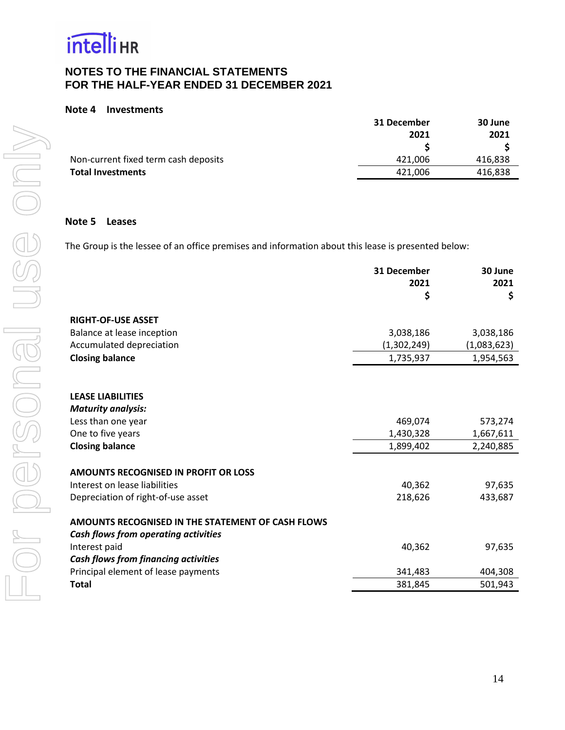

#### **Note 4 Investments**

|                                      | 31 December | 30 June |
|--------------------------------------|-------------|---------|
|                                      | 2021        | 2021    |
|                                      |             |         |
| Non-current fixed term cash deposits | 421,006     | 416,838 |
| <b>Total Investments</b>             | 421.006     | 416,838 |
|                                      |             |         |

#### **Note 5 Leases**

The Group is the lessee of an office premises and information about this lease is presented below:

|                                                   | 31 December<br>2021 | 30 June<br>2021 |
|---------------------------------------------------|---------------------|-----------------|
|                                                   | \$                  | \$              |
| <b>RIGHT-OF-USE ASSET</b>                         |                     |                 |
| Balance at lease inception                        | 3,038,186           | 3,038,186       |
| Accumulated depreciation                          | (1,302,249)         | (1,083,623)     |
| <b>Closing balance</b>                            | 1,735,937           | 1,954,563       |
|                                                   |                     |                 |
|                                                   |                     |                 |
| <b>LEASE LIABILITIES</b>                          |                     |                 |
| <b>Maturity analysis:</b>                         |                     |                 |
| Less than one year                                | 469,074             | 573,274         |
| One to five years                                 | 1,430,328           | 1,667,611       |
| <b>Closing balance</b>                            | 1,899,402           | 2,240,885       |
|                                                   |                     |                 |
| <b>AMOUNTS RECOGNISED IN PROFIT OR LOSS</b>       |                     |                 |
| Interest on lease liabilities                     | 40,362              | 97,635          |
| Depreciation of right-of-use asset                | 218,626             | 433,687         |
| AMOUNTS RECOGNISED IN THE STATEMENT OF CASH FLOWS |                     |                 |
| Cash flows from operating activities              |                     |                 |
| Interest paid                                     | 40,362              | 97,635          |
| <b>Cash flows from financing activities</b>       |                     |                 |
| Principal element of lease payments               | 341,483             | 404,308         |
| <b>Total</b>                                      | 381,845             | 501,943         |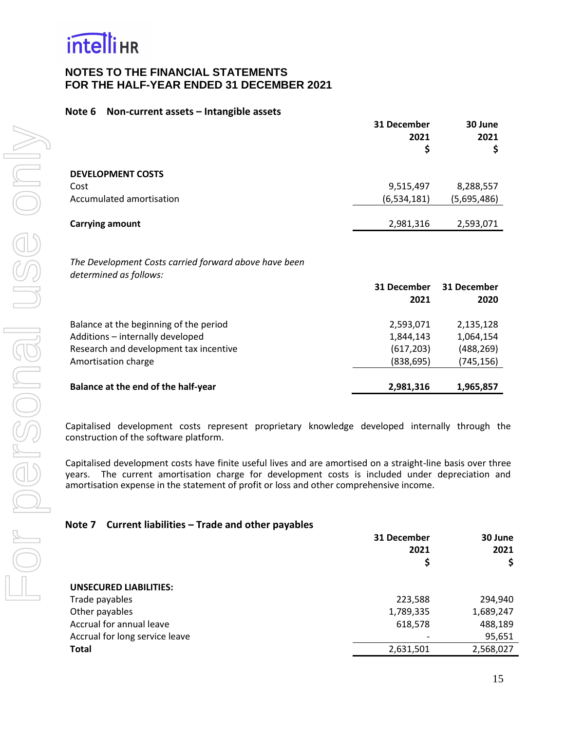

#### **Note 6 Non-current assets – Intangible assets**

|                          | 31 December<br>2021<br>\$ | 30 June<br>2021 |
|--------------------------|---------------------------|-----------------|
| <b>DEVELOPMENT COSTS</b> |                           |                 |
| Cost                     | 9,515,497                 | 8,288,557       |
| Accumulated amortisation | (6,534,181)               | (5,695,486)     |
| <b>Carrying amount</b>   | 2,981,316                 | 2,593,071       |

*The Development Costs carried forward above have been determined as follows:*

|                                        | 31 December<br>2021 | 31 December<br>2020 |
|----------------------------------------|---------------------|---------------------|
| Balance at the beginning of the period | 2,593,071           | 2,135,128           |
| Additions - internally developed       | 1,844,143           | 1,064,154           |
| Research and development tax incentive | (617, 203)          | (488, 269)          |
| Amortisation charge                    | (838, 695)          | (745, 156)          |
| Balance at the end of the half-year    | 2,981,316           | 1,965,857           |

Capitalised development costs represent proprietary knowledge developed internally through the construction of the software platform.

Capitalised development costs have finite useful lives and are amortised on a straight-line basis over three years. The current amortisation charge for development costs is included under depreciation and amortisation expense in the statement of profit or loss and other comprehensive income.

#### **Note 7 Current liabilities – Trade and other payables**

|                                | 31 December | 30 June   |
|--------------------------------|-------------|-----------|
|                                | 2021        | 2021      |
|                                | Ş           |           |
|                                |             |           |
| <b>UNSECURED LIABILITIES:</b>  |             |           |
| Trade payables                 | 223,588     | 294,940   |
| Other payables                 | 1,789,335   | 1,689,247 |
| Accrual for annual leave       | 618,578     | 488,189   |
| Accrual for long service leave |             | 95,651    |
| <b>Total</b>                   | 2,631,501   | 2,568,027 |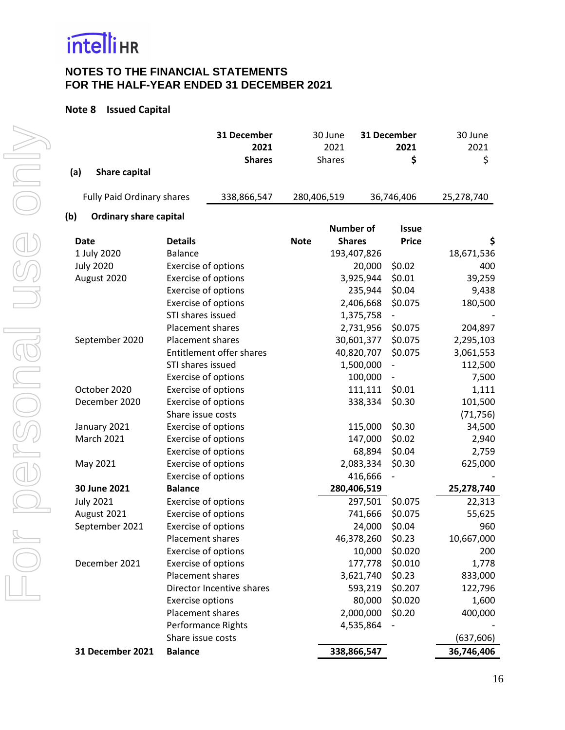

# **Note 8 Issued Capital**

| (a)<br><b>Share capital</b>          |                            | 31 December<br>2021<br><b>Shares</b> |             | 30 June<br>2021<br><b>Shares</b> |            | 31 December<br>2021<br>\$ | 30 June<br>2021<br>\$ |
|--------------------------------------|----------------------------|--------------------------------------|-------------|----------------------------------|------------|---------------------------|-----------------------|
| <b>Fully Paid Ordinary shares</b>    |                            | 338,866,547                          | 280,406,519 |                                  |            | 36,746,406                | 25,278,740            |
| (b)<br><b>Ordinary share capital</b> |                            |                                      |             |                                  |            |                           |                       |
|                                      |                            |                                      |             | <b>Number of</b>                 |            | <b>Issue</b>              |                       |
| <b>Date</b>                          | <b>Details</b>             |                                      | <b>Note</b> | <b>Shares</b>                    |            | <b>Price</b>              | \$                    |
| 1 July 2020                          | <b>Balance</b>             |                                      |             | 193,407,826                      |            |                           | 18,671,536            |
| <b>July 2020</b>                     | Exercise of options        |                                      |             |                                  | 20,000     | \$0.02                    | 400                   |
| August 2020                          | Exercise of options        |                                      |             |                                  | 3,925,944  | \$0.01                    | 39,259                |
|                                      | Exercise of options        |                                      |             |                                  | 235,944    | \$0.04                    | 9,438                 |
|                                      | Exercise of options        |                                      |             |                                  | 2,406,668  | \$0.075                   | 180,500               |
|                                      | STI shares issued          |                                      |             |                                  | 1,375,758  |                           |                       |
|                                      | Placement shares           |                                      |             |                                  | 2,731,956  | \$0.075                   | 204,897               |
| September 2020                       | Placement shares           |                                      |             |                                  | 30,601,377 | \$0.075                   | 2,295,103             |
|                                      |                            | Entitlement offer shares             |             |                                  | 40,820,707 | \$0.075                   | 3,061,553             |
|                                      | STI shares issued          |                                      |             |                                  | 1,500,000  |                           | 112,500               |
|                                      | Exercise of options        |                                      |             |                                  | 100,000    |                           | 7,500                 |
| October 2020                         | Exercise of options        |                                      |             |                                  | 111,111    | \$0.01                    | 1,111                 |
| December 2020                        | <b>Exercise of options</b> |                                      |             |                                  | 338,334    | \$0.30                    | 101,500               |
|                                      | Share issue costs          |                                      |             |                                  |            |                           | (71, 756)             |
| January 2021                         | Exercise of options        |                                      |             |                                  | 115,000    | \$0.30                    | 34,500                |
| <b>March 2021</b>                    | Exercise of options        |                                      |             |                                  | 147,000    | \$0.02                    | 2,940                 |
|                                      | <b>Exercise of options</b> |                                      |             |                                  | 68,894     | \$0.04                    | 2,759                 |
| May 2021                             | <b>Exercise of options</b> |                                      |             |                                  | 2,083,334  | \$0.30                    | 625,000               |
|                                      | <b>Exercise of options</b> |                                      |             |                                  | 416,666    |                           |                       |
| 30 June 2021                         | <b>Balance</b>             |                                      |             | 280,406,519                      |            |                           | 25,278,740            |
| <b>July 2021</b>                     | Exercise of options        |                                      |             |                                  | 297,501    | \$0.075                   | 22,313                |
| August 2021                          | Exercise of options        |                                      |             |                                  | 741,666    | \$0.075                   | 55,625                |
| September 2021                       | Exercise of options        |                                      |             |                                  | 24,000     | \$0.04                    | 960                   |
|                                      | Placement shares           |                                      |             |                                  | 46,378,260 | \$0.23                    | 10,667,000            |
|                                      | Exercise of options        |                                      |             |                                  | 10,000     | \$0.020                   | 200                   |
| December 2021                        | Exercise of options        |                                      |             |                                  | 177,778    | \$0.010                   | 1,778                 |
|                                      | Placement shares           |                                      |             |                                  | 3,621,740  | \$0.23                    | 833,000               |
|                                      |                            | Director Incentive shares            |             |                                  | 593,219    | \$0.207                   | 122,796               |
|                                      | <b>Exercise options</b>    |                                      |             |                                  | 80,000     | \$0.020                   | 1,600                 |
|                                      | Placement shares           |                                      |             |                                  | 2,000,000  | \$0.20                    | 400,000               |
|                                      |                            | Performance Rights                   |             |                                  | 4,535,864  |                           |                       |
|                                      | Share issue costs          |                                      |             |                                  |            |                           | (637, 606)            |
| 31 December 2021                     | <b>Balance</b>             |                                      |             | 338,866,547                      |            |                           | 36,746,406            |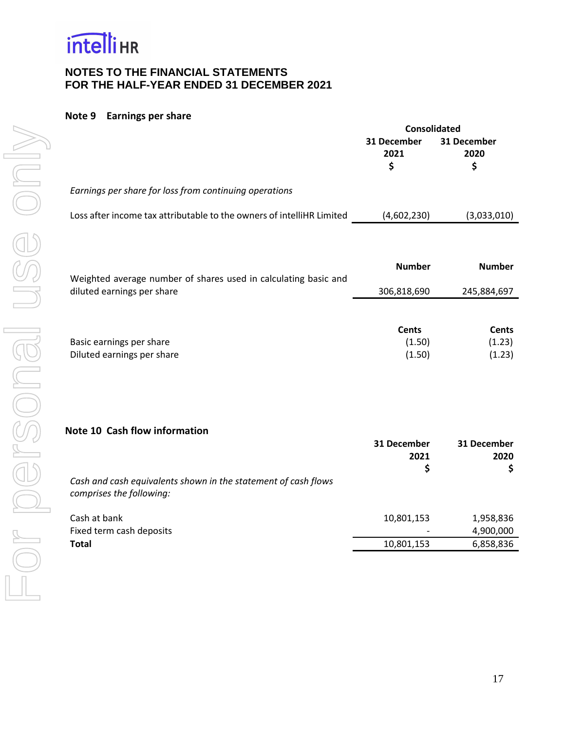

#### **Note 9 Earnings per share**

|                                                                       | <b>Consolidated</b>              |                                  |  |
|-----------------------------------------------------------------------|----------------------------------|----------------------------------|--|
|                                                                       | 31 December<br>2021<br>\$        | 31 December<br>2020<br>\$        |  |
| Earnings per share for loss from continuing operations                |                                  |                                  |  |
| Loss after income tax attributable to the owners of intelliHR Limited | (4,602,230)                      | (3,033,010)                      |  |
| Weighted average number of shares used in calculating basic and       | <b>Number</b>                    | <b>Number</b>                    |  |
| diluted earnings per share                                            | 306,818,690                      | 245,884,697                      |  |
| Basic earnings per share<br>Diluted earnings per share                | <b>Cents</b><br>(1.50)<br>(1.50) | <b>Cents</b><br>(1.23)<br>(1.23) |  |
| Note 10 Cash flow information                                         | 31 December<br>2021              | 31 December<br>2020              |  |

**\$ \$** *Cash and cash equivalents shown in the statement of cash flows comprises the following:* Cash at bank 10,801,153 1,958,836 Fixed term cash deposits and the set of the set of the set of the set of the set of the set of the set of the set of the set of the set of the set of the set of the set of the set of the set of the set of the set of the se **Total** 10,801,153 6,858,836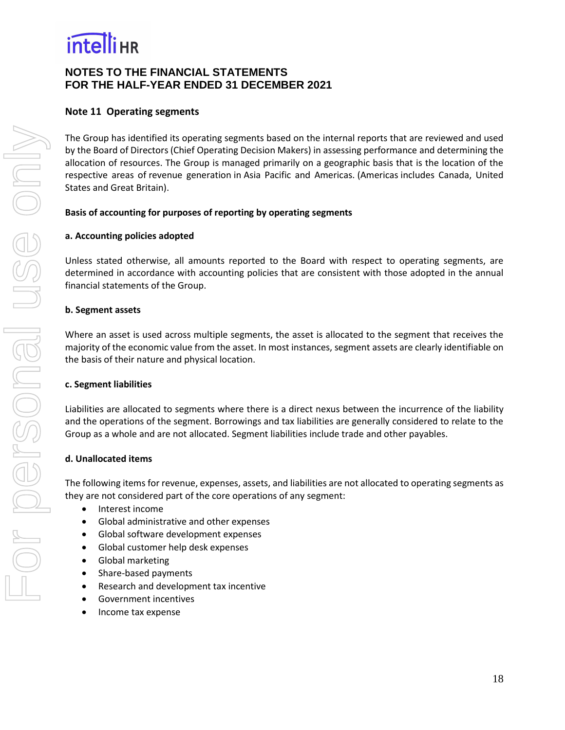

### **Note 11 Operating segments**

The Group has identified its operating segments based on the internal reports that are reviewed and used by the Board of Directors (Chief Operating Decision Makers) in assessing performance and determining the allocation of resources. The Group is managed primarily on a geographic basis that is the location of the respective areas of revenue generation in Asia Pacific and Americas. (Americas includes Canada, United States and Great Britain).

#### **Basis of accounting for purposes of reporting by operating segments**

#### **a. Accounting policies adopted**

Unless stated otherwise, all amounts reported to the Board with respect to operating segments, are determined in accordance with accounting policies that are consistent with those adopted in the annual financial statements of the Group.

#### **b. Segment assets**

Where an asset is used across multiple segments, the asset is allocated to the segment that receives the majority of the economic value from the asset. In most instances, segment assets are clearly identifiable on the basis of their nature and physical location.

#### **c. Segment liabilities**

Liabilities are allocated to segments where there is a direct nexus between the incurrence of the liability and the operations of the segment. Borrowings and tax liabilities are generally considered to relate to the Group as a whole and are not allocated. Segment liabilities include trade and other payables.

#### **d. Unallocated items**

The following items for revenue, expenses, assets, and liabilities are not allocated to operating segments as they are not considered part of the core operations of any segment:

- Interest income
- Global administrative and other expenses
- Global software development expenses
- Global customer help desk expenses
- Global marketing
- Share-based payments
- Research and development tax incentive
- Government incentives
- Income tax expense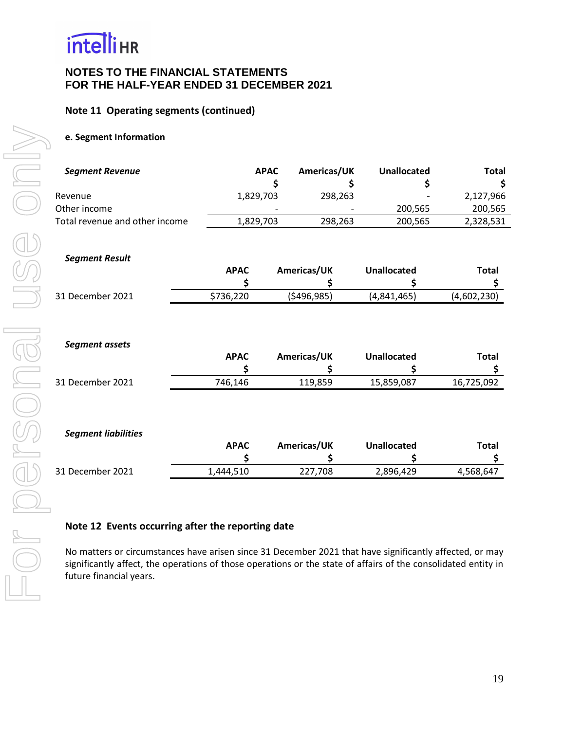

### **Note 11 Operating segments (continued)**

#### **e. Segment Information**

| <b>Segment Revenue</b>         |             | <b>APAC</b> | Americas/UK | Unallocated        | <b>Total</b> |
|--------------------------------|-------------|-------------|-------------|--------------------|--------------|
| Revenue                        | 1,829,703   |             | 298,263     |                    | 2,127,966    |
| Other income                   |             |             |             | 200,565            | 200,565      |
| Total revenue and other income | 1,829,703   |             | 298,263     | 200,565            | 2,328,531    |
| <b>Segment Result</b>          | <b>APAC</b> |             | Americas/UK | <b>Unallocated</b> | <b>Total</b> |
| 31 December 2021               | \$736,220   |             | (5496, 985) | (4,841,465)        | (4,602,230)  |
| Segment assets                 |             |             |             |                    |              |

|                  | <b>APAC</b> | Americas/UK | <b>Unallocated</b> | Total      |
|------------------|-------------|-------------|--------------------|------------|
|                  |             |             |                    |            |
| 31 December 2021 | 746.146     | 119,859     | 15,859,087         | 16,725,092 |

#### *Segment liabilities*

|                  | APAC      | Americas/UK | <b>Unallocated</b> | Total     |
|------------------|-----------|-------------|--------------------|-----------|
|                  |           |             |                    |           |
| 31 December 2021 | 1.444.510 | 227.708     | 2,896,429          | 4,568,647 |

#### **Note 12 Events occurring after the reporting date**

<span id="page-20-0"></span>No matters or circumstances have arisen since 31 December 2021 that have significantly affected, or may significantly affect, the operations of those operations or the state of affairs of the consolidated entity in future financial years.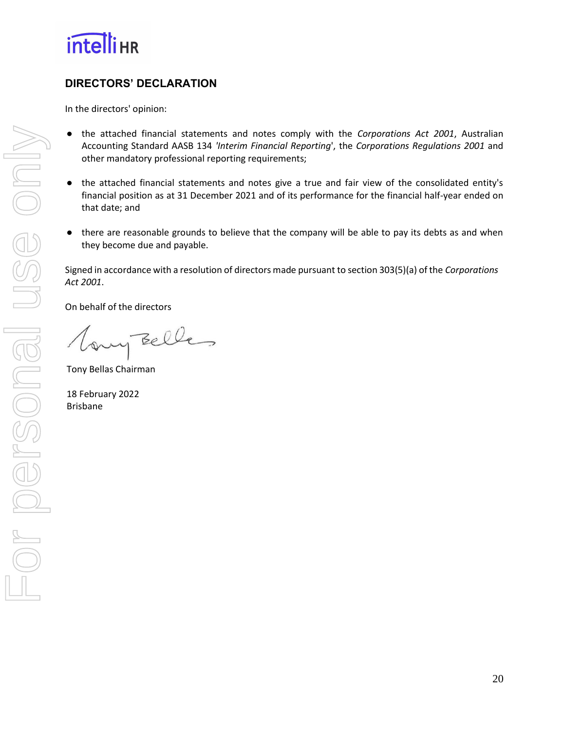

# **DIRECTORS' DECLARATION**

In the directors' opinion:

- the attached financial statements and notes comply with the *Corporations Act 2001*, Australian Accounting Standard AASB 134 *'Interim Financial Reporting*', the *Corporations Regulations 2001* and other mandatory professional reporting requirements;
- the attached financial statements and notes give a true and fair view of the consolidated entity's financial position as at 31 December 2021 and of its performance for the financial half-year ended on that date; and
- there are reasonable grounds to believe that the company will be able to pay its debts as and when they become due and payable.

Signed in accordance with a resolution of directors made pursuant to section 303(5)(a) of the *Corporations Act 2001*.

On behalf of the directors

any Belles

Tony Bellas Chairman

18 February 2022 Brisbane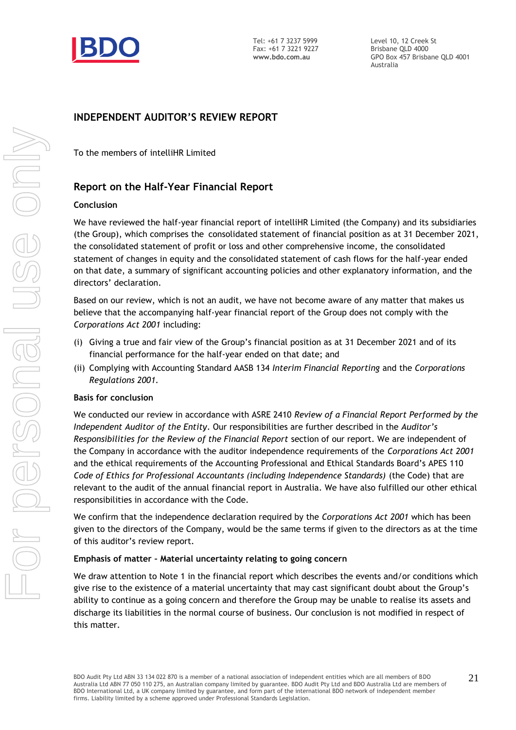

Level 10, 12 Creek St Brisbane QLD 4000 GPO Box 457 Brisbane QLD 4001 Australia

# **INDEPENDENT AUDITOR'S REVIEW REPORT**

To the members of intelliHR Limited

# **Report on the Half-Year Financial Report**

#### **Conclusion**

We have reviewed the half-year financial report of intelliHR Limited (the Company) and its subsidiaries (the Group), which comprises the consolidated statement of financial position as at 31 December 2021, the consolidated statement of profit or loss and other comprehensive income, the consolidated statement of changes in equity and the consolidated statement of cash flows for the half-year ended on that date, a summary of significant accounting policies and other explanatory information, and the directors' declaration.

Based on our review, which is not an audit, we have not become aware of any matter that makes us believe that the accompanying half-year financial report of the Group does not comply with the *Corporations Act 2001* including:

- (i) Giving a true and fair view of the Group's financial position as at 31 December 2021 and of its financial performance for the half-year ended on that date; and
- (ii) Complying with Accounting Standard AASB 134 *Interim Financial Reporting* and the *Corporations Regulations 2001.*

#### **Basis for conclusion**

We conducted our review in accordance with ASRE 2410 *Review of a Financial Report Performed by the Independent Auditor of the Entity*. Our responsibilities are further described in the *Auditor's Responsibilities for the Review of the Financial Report* section of our report. We are independent of the Company in accordance with the auditor independence requirements of the *Corporations Act 2001* and the ethical requirements of the Accounting Professional and Ethical Standards Board's APES 110 *Code of Ethics for Professional Accountants (including Independence Standards)* (the Code) that are relevant to the audit of the annual financial report in Australia. We have also fulfilled our other ethical responsibilities in accordance with the Code.

We confirm that the independence declaration required by the *Corporations Act 2001* which has been given to the directors of the Company, would be the same terms if given to the directors as at the time of this auditor's review report.

#### **Emphasis of matter – Material uncertainty relating to going concern**

We draw attention to Note 1 in the financial report which describes the events and/or conditions which give rise to the existence of a material uncertainty that may cast significant doubt about the Group's ability to continue as a going concern and therefore the Group may be unable to realise its assets and discharge its liabilities in the normal course of business. Our conclusion is not modified in respect of this matter.